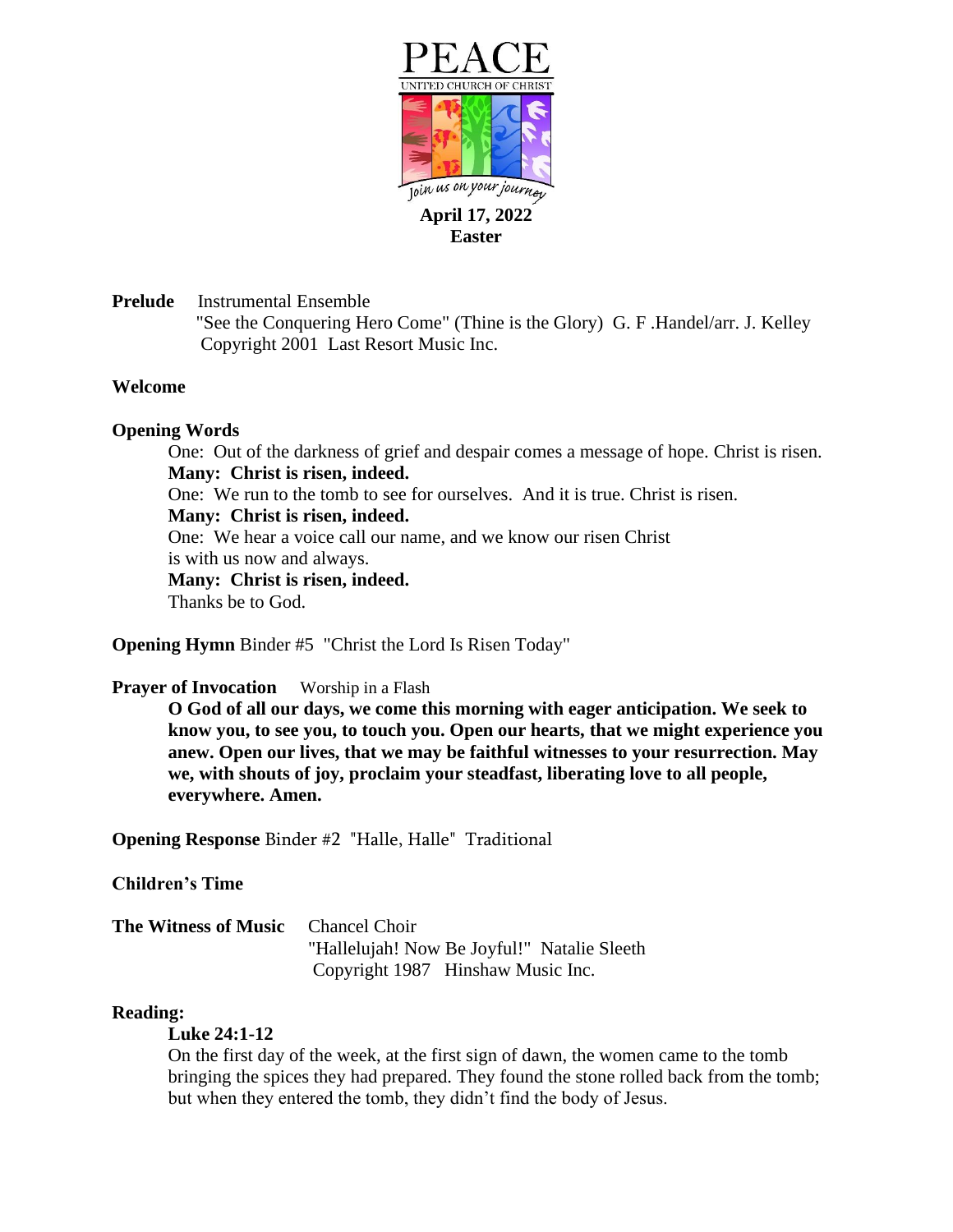

**Prelude** Instrumental Ensemble "See the Conquering Hero Come" (Thine is the Glory) G. F .Handel/arr. J. Kelley Copyright 2001 Last Resort Music Inc.

# **Welcome**

## **Opening Words**

One: Out of the darkness of grief and despair comes a message of hope. Christ is risen. **Many: Christ is risen, indeed.** One: We run to the tomb to see for ourselves. And it is true. Christ is risen. **Many: Christ is risen, indeed.** One: We hear a voice call our name, and we know our risen Christ is with us now and always. **Many: Christ is risen, indeed.** Thanks be to God.

**Opening Hymn** Binder #5 "Christ the Lord Is Risen Today"

### **Prayer of Invocation** Worship in a Flash

**O God of all our days, we come this morning with eager anticipation. We seek to know you, to see you, to touch you. Open our hearts, that we might experience you anew. Open our lives, that we may be faithful witnesses to your resurrection. May we, with shouts of joy, proclaim your steadfast, liberating love to all people, everywhere. Amen.**

**Opening Response** Binder #2 "Halle, Halle" Traditional

# **Children's Time**

**The Witness of Music** Chancel Choir "Hallelujah! Now Be Joyful!" Natalie Sleeth Copyright 1987 Hinshaw Music Inc.

### **Reading:**

### **Luke 24:1-12**

On the first day of the week, at the first sign of dawn, the women came to the tomb bringing the spices they had prepared. They found the stone rolled back from the tomb; but when they entered the tomb, they didn't find the body of Jesus.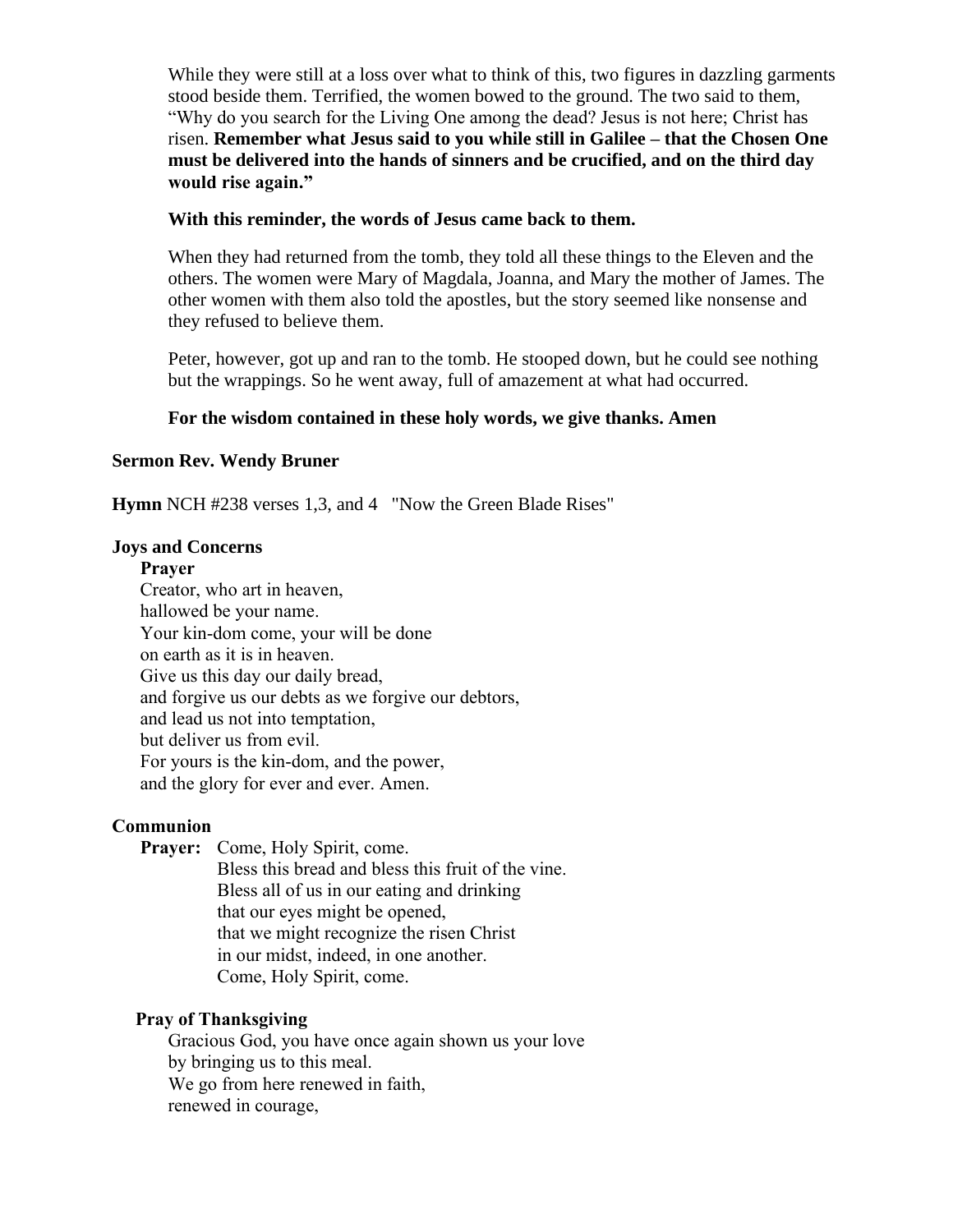While they were still at a loss over what to think of this, two figures in dazzling garments stood beside them. Terrified, the women bowed to the ground. The two said to them, "Why do you search for the Living One among the dead? Jesus is not here; Christ has risen. **Remember what Jesus said to you while still in Galilee – that the Chosen One must be delivered into the hands of sinners and be crucified, and on the third day would rise again."**

## **With this reminder, the words of Jesus came back to them.**

When they had returned from the tomb, they told all these things to the Eleven and the others. The women were Mary of Magdala, Joanna, and Mary the mother of James. The other women with them also told the apostles, but the story seemed like nonsense and they refused to believe them.

Peter, however, got up and ran to the tomb. He stooped down, but he could see nothing but the wrappings. So he went away, full of amazement at what had occurred.

# **For the wisdom contained in these holy words, we give thanks. Amen**

## **Sermon Rev. Wendy Bruner**

**Hymn** NCH #238 verses 1,3, and 4 "Now the Green Blade Rises"

### **Joys and Concerns**

#### **Prayer**

Creator, who art in heaven, hallowed be your name. Your kin-dom come, your will be done on earth as it is in heaven. Give us this day our daily bread, and forgive us our debts as we forgive our debtors, and lead us not into temptation, but deliver us from evil. For yours is the kin-dom, and the power, and the glory for ever and ever. Amen.

### **Communion**

 **Prayer:** Come, Holy Spirit, come.

Bless this bread and bless this fruit of the vine. Bless all of us in our eating and drinking that our eyes might be opened, that we might recognize the risen Christ in our midst, indeed, in one another. Come, Holy Spirit, come.

# **Pray of Thanksgiving**

Gracious God, you have once again shown us your love by bringing us to this meal. We go from here renewed in faith, renewed in courage,